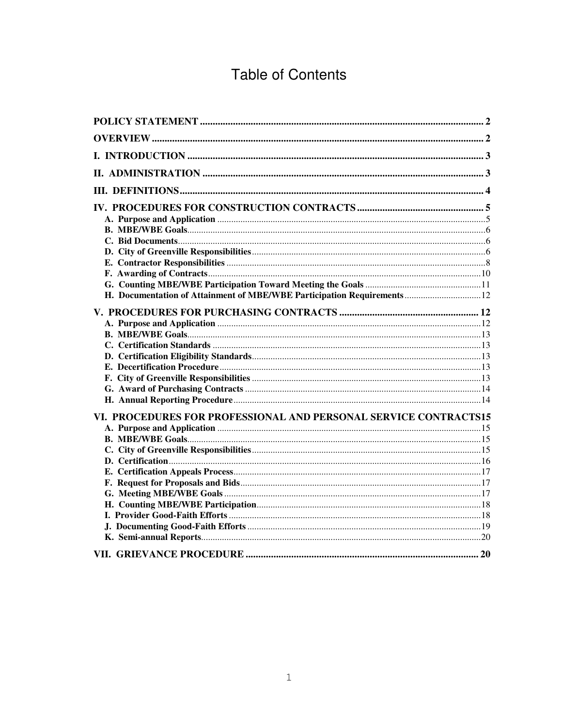# **Table of Contents**

| H. Documentation of Attainment of MBE/WBE Participation Requirements 12 |  |
|-------------------------------------------------------------------------|--|
|                                                                         |  |
|                                                                         |  |
|                                                                         |  |
|                                                                         |  |
|                                                                         |  |
|                                                                         |  |
|                                                                         |  |
|                                                                         |  |
|                                                                         |  |
|                                                                         |  |
| VI. PROCEDURES FOR PROFESSIONAL AND PERSONAL SERVICE CONTRACTS15        |  |
|                                                                         |  |
|                                                                         |  |
|                                                                         |  |
|                                                                         |  |
|                                                                         |  |
|                                                                         |  |
|                                                                         |  |
|                                                                         |  |
|                                                                         |  |
|                                                                         |  |
|                                                                         |  |
|                                                                         |  |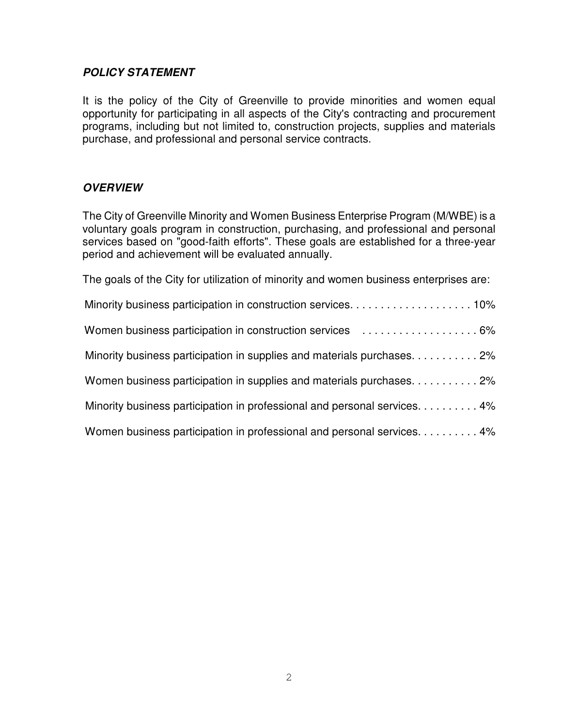#### *POLICY STATEMENT*

It is the policy of the City of Greenville to provide minorities and women equal opportunity for participating in all aspects of the City's contracting and procurement programs, including but not limited to, construction projects, supplies and materials purchase, and professional and personal service contracts.

## *OVERVIEW*

The City of Greenville Minority and Women Business Enterprise Program (M/WBE) is a voluntary goals program in construction, purchasing, and professional and personal services based on "good-faith efforts". These goals are established for a three-year period and achievement will be evaluated annually.

The goals of the City for utilization of minority and women business enterprises are:

| Minority business participation in supplies and materials purchases. 2%   |
|---------------------------------------------------------------------------|
| Women business participation in supplies and materials purchases2%        |
| Minority business participation in professional and personal services. 4% |
| Women business participation in professional and personal services. 4%    |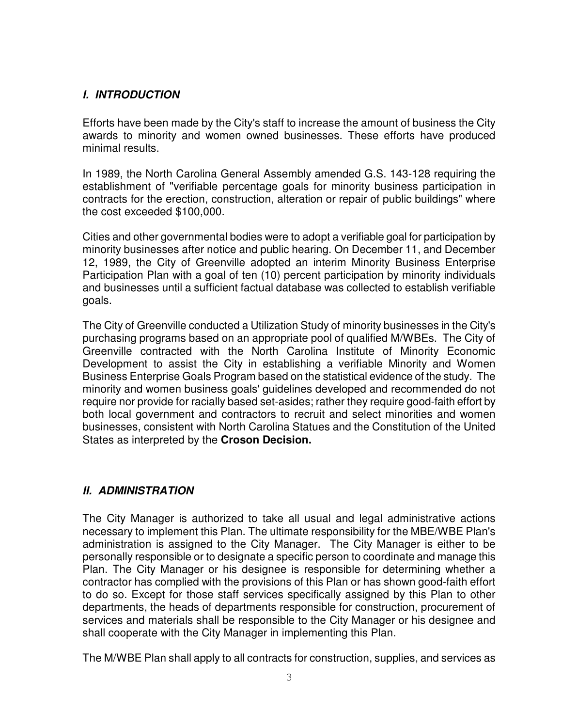## *I. INTRODUCTION*

Efforts have been made by the City's staff to increase the amount of business the City awards to minority and women owned businesses. These efforts have produced minimal results.

In 1989, the North Carolina General Assembly amended G.S. 143-128 requiring the establishment of "verifiable percentage goals for minority business participation in contracts for the erection, construction, alteration or repair of public buildings" where the cost exceeded \$100,000.

Cities and other governmental bodies were to adopt a verifiable goal for participation by minority businesses after notice and public hearing. On December 11, and December 12, 1989, the City of Greenville adopted an interim Minority Business Enterprise Participation Plan with a goal of ten (10) percent participation by minority individuals and businesses until a sufficient factual database was collected to establish verifiable goals.

The City of Greenville conducted a Utilization Study of minority businesses in the City's purchasing programs based on an appropriate pool of qualified M/WBEs. The City of Greenville contracted with the North Carolina Institute of Minority Economic Development to assist the City in establishing a verifiable Minority and Women Business Enterprise Goals Program based on the statistical evidence of the study. The minority and women business goals' guidelines developed and recommended do not require nor provide for racially based set-asides; rather they require good-faith effort by both local government and contractors to recruit and select minorities and women businesses, consistent with North Carolina Statues and the Constitution of the United States as interpreted by the **Croson Decision.**

## *II. ADMINISTRATION*

The City Manager is authorized to take all usual and legal administrative actions necessary to implement this Plan. The ultimate responsibility for the MBE/WBE Plan's administration is assigned to the City Manager. The City Manager is either to be personally responsible or to designate a specific person to coordinate and manage this Plan. The City Manager or his designee is responsible for determining whether a contractor has complied with the provisions of this Plan or has shown good-faith effort to do so. Except for those staff services specifically assigned by this Plan to other departments, the heads of departments responsible for construction, procurement of services and materials shall be responsible to the City Manager or his designee and shall cooperate with the City Manager in implementing this Plan.

The M/WBE Plan shall apply to all contracts for construction, supplies, and services as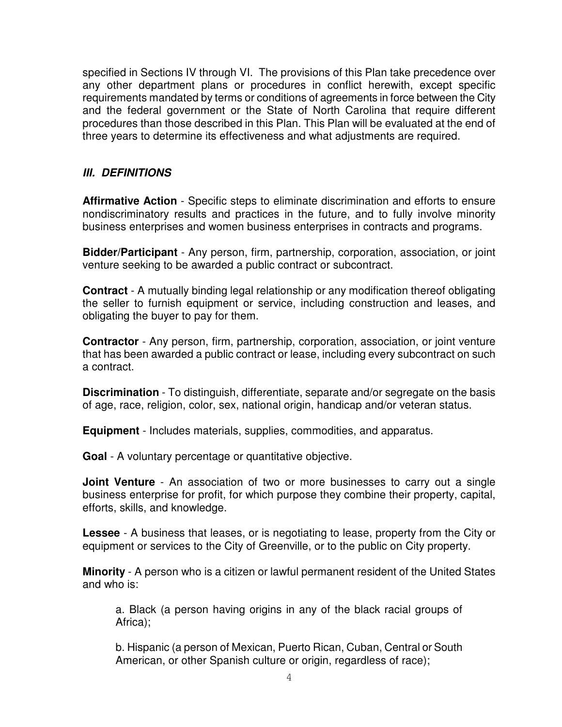specified in Sections IV through VI. The provisions of this Plan take precedence over any other department plans or procedures in conflict herewith, except specific requirements mandated by terms or conditions of agreements in force between the City and the federal government or the State of North Carolina that require different procedures than those described in this Plan. This Plan will be evaluated at the end of three years to determine its effectiveness and what adjustments are required.

## *III. DEFINITIONS*

**Affirmative Action** - Specific steps to eliminate discrimination and efforts to ensure nondiscriminatory results and practices in the future, and to fully involve minority business enterprises and women business enterprises in contracts and programs.

**Bidder/Participant** - Any person, firm, partnership, corporation, association, or joint venture seeking to be awarded a public contract or subcontract.

**Contract** - A mutually binding legal relationship or any modification thereof obligating the seller to furnish equipment or service, including construction and leases, and obligating the buyer to pay for them.

**Contractor** - Any person, firm, partnership, corporation, association, or joint venture that has been awarded a public contract or lease, including every subcontract on such a contract.

**Discrimination** - To distinguish, differentiate, separate and/or segregate on the basis of age, race, religion, color, sex, national origin, handicap and/or veteran status.

**Equipment** - Includes materials, supplies, commodities, and apparatus.

**Goal** - A voluntary percentage or quantitative objective.

**Joint Venture** - An association of two or more businesses to carry out a single business enterprise for profit, for which purpose they combine their property, capital, efforts, skills, and knowledge.

**Lessee** - A business that leases, or is negotiating to lease, property from the City or equipment or services to the City of Greenville, or to the public on City property.

**Minority** - A person who is a citizen or lawful permanent resident of the United States and who is:

a. Black (a person having origins in any of the black racial groups of Africa);

b. Hispanic (a person of Mexican, Puerto Rican, Cuban, Central or South American, or other Spanish culture or origin, regardless of race);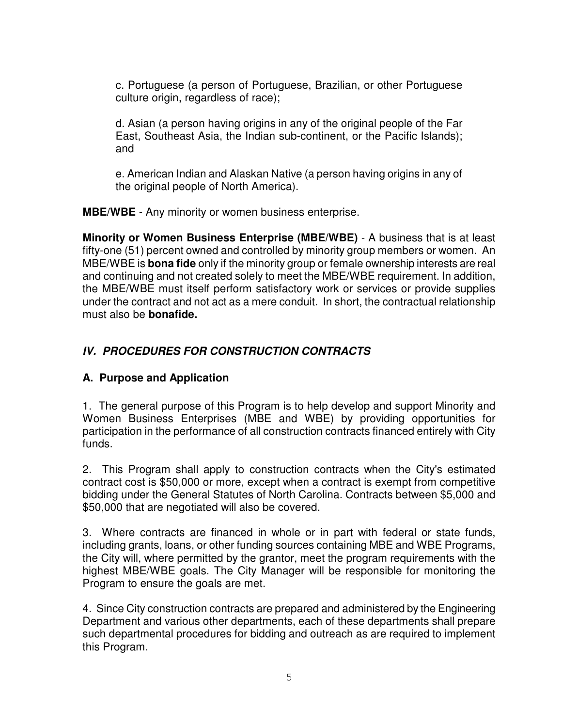c. Portuguese (a person of Portuguese, Brazilian, or other Portuguese culture origin, regardless of race);

d. Asian (a person having origins in any of the original people of the Far East, Southeast Asia, the Indian sub-continent, or the Pacific Islands); and

e. American Indian and Alaskan Native (a person having origins in any of the original people of North America).

**MBE/WBE** - Any minority or women business enterprise.

**Minority or Women Business Enterprise (MBE/WBE)** - A business that is at least fifty-one (51) percent owned and controlled by minority group members or women. An MBE/WBE is **bona fide** only if the minority group or female ownership interests are real and continuing and not created solely to meet the MBE/WBE requirement. In addition, the MBE/WBE must itself perform satisfactory work or services or provide supplies under the contract and not act as a mere conduit. In short, the contractual relationship must also be **bonafide.**

# *IV. PROCEDURES FOR CONSTRUCTION CONTRACTS*

# **A. Purpose and Application**

1. The general purpose of this Program is to help develop and support Minority and Women Business Enterprises (MBE and WBE) by providing opportunities for participation in the performance of all construction contracts financed entirely with City funds.

2. This Program shall apply to construction contracts when the City's estimated contract cost is \$50,000 or more, except when a contract is exempt from competitive bidding under the General Statutes of North Carolina. Contracts between \$5,000 and \$50,000 that are negotiated will also be covered.

3. Where contracts are financed in whole or in part with federal or state funds, including grants, loans, or other funding sources containing MBE and WBE Programs, the City will, where permitted by the grantor, meet the program requirements with the highest MBE/WBE goals. The City Manager will be responsible for monitoring the Program to ensure the goals are met.

4. Since City construction contracts are prepared and administered by the Engineering Department and various other departments, each of these departments shall prepare such departmental procedures for bidding and outreach as are required to implement this Program.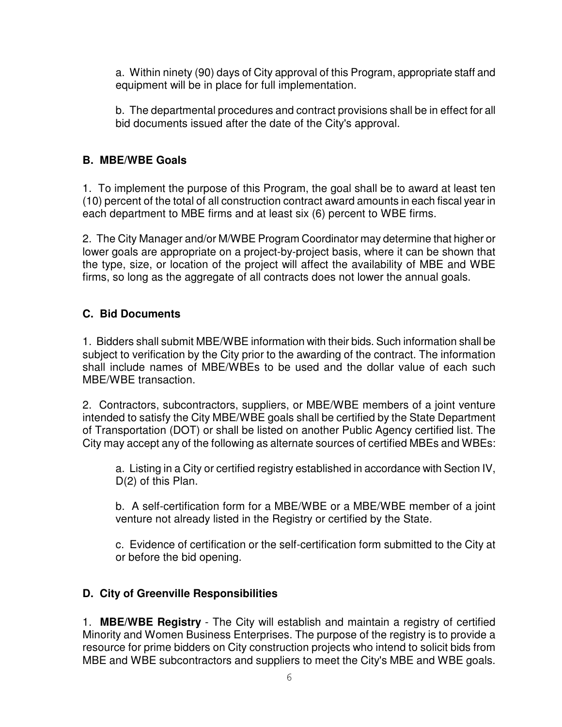a. Within ninety (90) days of City approval of this Program, appropriate staff and equipment will be in place for full implementation.

b. The departmental procedures and contract provisions shall be in effect for all bid documents issued after the date of the City's approval.

## **B. MBE/WBE Goals**

1. To implement the purpose of this Program, the goal shall be to award at least ten (10) percent of the total of all construction contract award amounts in each fiscal year in each department to MBE firms and at least six (6) percent to WBE firms.

2. The City Manager and/or M/WBE Program Coordinator may determine that higher or lower goals are appropriate on a project-by-project basis, where it can be shown that the type, size, or location of the project will affect the availability of MBE and WBE firms, so long as the aggregate of all contracts does not lower the annual goals.

# **C. Bid Documents**

1. Bidders shall submit MBE/WBE information with their bids. Such information shall be subject to verification by the City prior to the awarding of the contract. The information shall include names of MBE/WBEs to be used and the dollar value of each such MBE/WBE transaction.

2. Contractors, subcontractors, suppliers, or MBE/WBE members of a joint venture intended to satisfy the City MBE/WBE goals shall be certified by the State Department of Transportation (DOT) or shall be listed on another Public Agency certified list. The City may accept any of the following as alternate sources of certified MBEs and WBEs:

a. Listing in a City or certified registry established in accordance with Section IV, D(2) of this Plan.

b. A self-certification form for a MBE/WBE or a MBE/WBE member of a joint venture not already listed in the Registry or certified by the State.

c. Evidence of certification or the self-certification form submitted to the City at or before the bid opening.

# **D. City of Greenville Responsibilities**

1. **MBE/WBE Registry** - The City will establish and maintain a registry of certified Minority and Women Business Enterprises. The purpose of the registry is to provide a resource for prime bidders on City construction projects who intend to solicit bids from MBE and WBE subcontractors and suppliers to meet the City's MBE and WBE goals.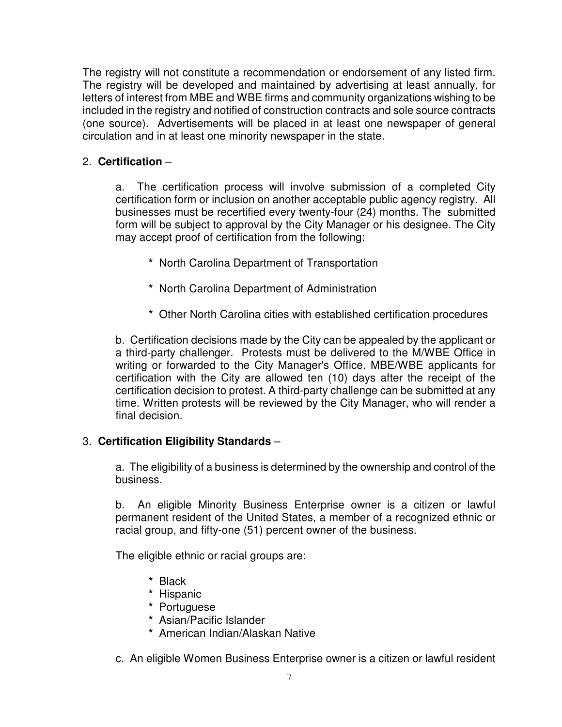The registry will not constitute a recommendation or endorsement of any listed firm. The registry will be developed and maintained by advertising at least annually, for letters of interest from MBE and WBE firms and community organizations wishing to be included in the registry and notified of construction contracts and sole source contracts (one source). Advertisements will be placed in at least one newspaper of general circulation and in at least one minority newspaper in the state.

## 2. **Certification** –

a. The certification process will involve submission of a completed City certification form or inclusion on another acceptable public agency registry. All businesses must be recertified every twenty-four (24) months. The submitted form will be subject to approval by the City Manager or his designee. The City may accept proof of certification from the following:

- **\*** North Carolina Department of Transportation
- **\*** North Carolina Department of Administration
- **\*** Other North Carolina cities with established certification procedures

b. Certification decisions made by the City can be appealed by the applicant or a third-party challenger. Protests must be delivered to the M/WBE Office in writing or forwarded to the City Manager's Office. MBE/WBE applicants for certification with the City are allowed ten (10) days after the receipt of the certification decision to protest. A third-party challenge can be submitted at any time. Written protests will be reviewed by the City Manager, who will render a final decision.

## 3. **Certification Eligibility Standards** –

a. The eligibility of a business is determined by the ownership and control of the business.

b. An eligible Minority Business Enterprise owner is a citizen or lawful permanent resident of the United States, a member of a recognized ethnic or racial group, and fifty-one (51) percent owner of the business.

The eligible ethnic or racial groups are:

- **\*** Black
- **\*** Hispanic
- **\*** Portuguese
- **\*** Asian/Pacific Islander
- **\*** American Indian/Alaskan Native
- c. An eligible Women Business Enterprise owner is a citizen or lawful resident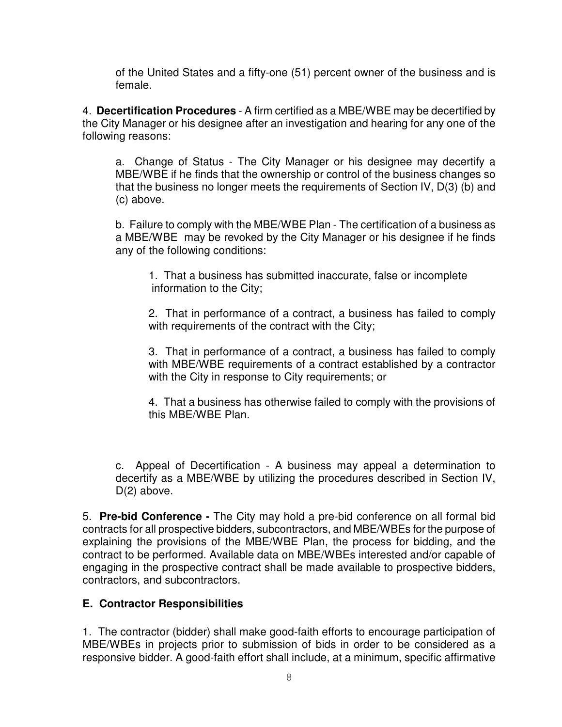of the United States and a fifty-one (51) percent owner of the business and is female.

4. **Decertification Procedures** - A firm certified as a MBE/WBE may be decertified by the City Manager or his designee after an investigation and hearing for any one of the following reasons:

a. Change of Status - The City Manager or his designee may decertify a MBE/WBE if he finds that the ownership or control of the business changes so that the business no longer meets the requirements of Section IV, D(3) (b) and (c) above.

b. Failure to comply with the MBE/WBE Plan - The certification of a business as a MBE/WBE may be revoked by the City Manager or his designee if he finds any of the following conditions:

1. That a business has submitted inaccurate, false or incomplete information to the City;

2. That in performance of a contract, a business has failed to comply with requirements of the contract with the City;

3. That in performance of a contract, a business has failed to comply with MBE/WBE requirements of a contract established by a contractor with the City in response to City requirements; or

4. That a business has otherwise failed to comply with the provisions of this MBE/WBE Plan.

c. Appeal of Decertification - A business may appeal a determination to decertify as a MBE/WBE by utilizing the procedures described in Section IV, D(2) above.

5. **Pre-bid Conference -** The City may hold a pre-bid conference on all formal bid contracts for all prospective bidders, subcontractors, and MBE/WBEs for the purpose of explaining the provisions of the MBE/WBE Plan, the process for bidding, and the contract to be performed. Available data on MBE/WBEs interested and/or capable of engaging in the prospective contract shall be made available to prospective bidders, contractors, and subcontractors.

## **E. Contractor Responsibilities**

1. The contractor (bidder) shall make good-faith efforts to encourage participation of MBE/WBEs in projects prior to submission of bids in order to be considered as a responsive bidder. A good-faith effort shall include, at a minimum, specific affirmative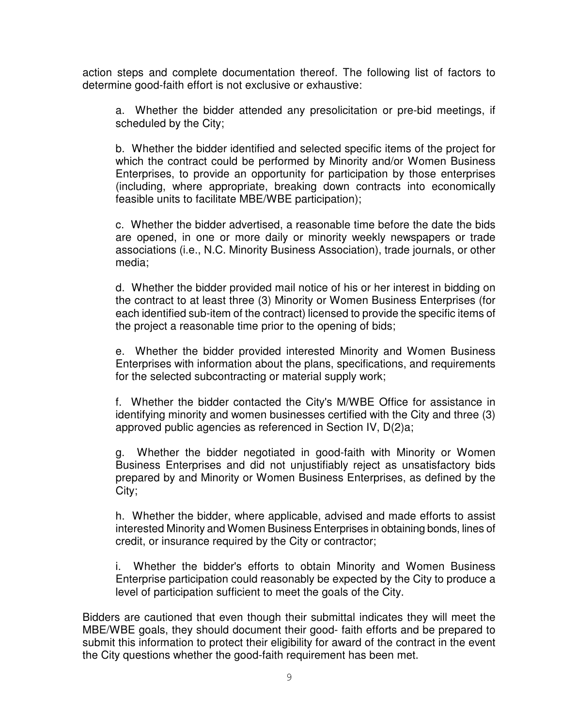action steps and complete documentation thereof. The following list of factors to determine good-faith effort is not exclusive or exhaustive:

a. Whether the bidder attended any presolicitation or pre-bid meetings, if scheduled by the City;

b. Whether the bidder identified and selected specific items of the project for which the contract could be performed by Minority and/or Women Business Enterprises, to provide an opportunity for participation by those enterprises (including, where appropriate, breaking down contracts into economically feasible units to facilitate MBE/WBE participation);

c. Whether the bidder advertised, a reasonable time before the date the bids are opened, in one or more daily or minority weekly newspapers or trade associations (i.e., N.C. Minority Business Association), trade journals, or other media;

d. Whether the bidder provided mail notice of his or her interest in bidding on the contract to at least three (3) Minority or Women Business Enterprises (for each identified sub-item of the contract) licensed to provide the specific items of the project a reasonable time prior to the opening of bids;

e. Whether the bidder provided interested Minority and Women Business Enterprises with information about the plans, specifications, and requirements for the selected subcontracting or material supply work;

f. Whether the bidder contacted the City's M/WBE Office for assistance in identifying minority and women businesses certified with the City and three (3) approved public agencies as referenced in Section IV, D(2)a;

g. Whether the bidder negotiated in good-faith with Minority or Women Business Enterprises and did not unjustifiably reject as unsatisfactory bids prepared by and Minority or Women Business Enterprises, as defined by the City;

h. Whether the bidder, where applicable, advised and made efforts to assist interested Minority and Women Business Enterprises in obtaining bonds, lines of credit, or insurance required by the City or contractor;

i. Whether the bidder's efforts to obtain Minority and Women Business Enterprise participation could reasonably be expected by the City to produce a level of participation sufficient to meet the goals of the City.

Bidders are cautioned that even though their submittal indicates they will meet the MBE/WBE goals, they should document their good- faith efforts and be prepared to submit this information to protect their eligibility for award of the contract in the event the City questions whether the good-faith requirement has been met.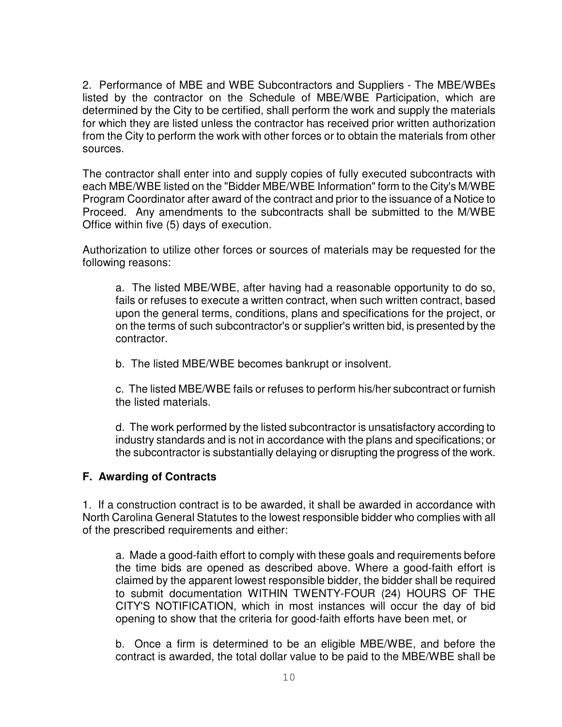2. Performance of MBE and WBE Subcontractors and Suppliers - The MBE/WBEs listed by the contractor on the Schedule of MBE/WBE Participation, which are determined by the City to be certified, shall perform the work and supply the materials for which they are listed unless the contractor has received prior written authorization from the City to perform the work with other forces or to obtain the materials from other sources.

The contractor shall enter into and supply copies of fully executed subcontracts with each MBE/WBE listed on the "Bidder MBE/WBE Information" form to the City's M/WBE Program Coordinator after award of the contract and prior to the issuance of a Notice to Proceed. Any amendments to the subcontracts shall be submitted to the M/WBE Office within five (5) days of execution.

Authorization to utilize other forces or sources of materials may be requested for the following reasons:

a. The listed MBE/WBE, after having had a reasonable opportunity to do so, fails or refuses to execute a written contract, when such written contract, based upon the general terms, conditions, plans and specifications for the project, or on the terms of such subcontractor's or supplier's written bid, is presented by the contractor.

b. The listed MBE/WBE becomes bankrupt or insolvent.

c. The listed MBE/WBE fails or refuses to perform his/her subcontract or furnish the listed materials.

d. The work performed by the listed subcontractor is unsatisfactory according to industry standards and is not in accordance with the plans and specifications; or the subcontractor is substantially delaying or disrupting the progress of the work.

#### **F. Awarding of Contracts**

1. If a construction contract is to be awarded, it shall be awarded in accordance with North Carolina General Statutes to the lowest responsible bidder who complies with all of the prescribed requirements and either:

a. Made a good-faith effort to comply with these goals and requirements before the time bids are opened as described above. Where a good-faith effort is claimed by the apparent lowest responsible bidder, the bidder shall be required to submit documentation WITHIN TWENTY-FOUR (24) HOURS OF THE CITY'S NOTIFICATION, which in most instances will occur the day of bid opening to show that the criteria for good-faith efforts have been met, or

b. Once a firm is determined to be an eligible MBE/WBE, and before the contract is awarded, the total dollar value to be paid to the MBE/WBE shall be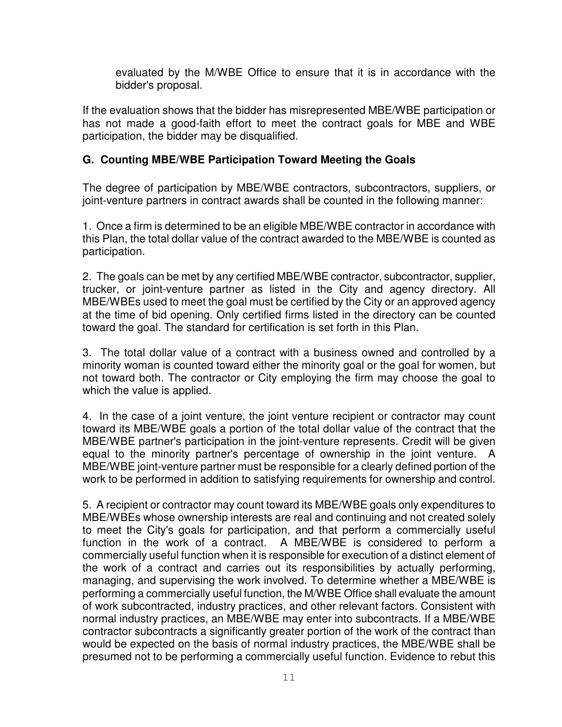evaluated by the M/WBE Office to ensure that it is in accordance with the bidder's proposal.

If the evaluation shows that the bidder has misrepresented MBE/WBE participation or has not made a good-faith effort to meet the contract goals for MBE and WBE participation, the bidder may be disqualified.

## **G. Counting MBE/WBE Participation Toward Meeting the Goals**

The degree of participation by MBE/WBE contractors, subcontractors, suppliers, or joint-venture partners in contract awards shall be counted in the following manner:

1. Once a firm is determined to be an eligible MBE/WBE contractor in accordance with this Plan, the total dollar value of the contract awarded to the MBE/WBE is counted as participation.

2. The goals can be met by any certified MBE/WBE contractor, subcontractor, supplier, trucker, or joint-venture partner as listed in the City and agency directory. All MBE/WBEs used to meet the goal must be certified by the City or an approved agency at the time of bid opening. Only certified firms listed in the directory can be counted toward the goal. The standard for certification is set forth in this Plan.

3. The total dollar value of a contract with a business owned and controlled by a minority woman is counted toward either the minority goal or the goal for women, but not toward both. The contractor or City employing the firm may choose the goal to which the value is applied.

4. In the case of a joint venture, the joint venture recipient or contractor may count toward its MBE/WBE goals a portion of the total dollar value of the contract that the MBE/WBE partner's participation in the joint-venture represents. Credit will be given equal to the minority partner's percentage of ownership in the joint venture. A MBE/WBE joint-venture partner must be responsible for a clearly defined portion of the work to be performed in addition to satisfying requirements for ownership and control.

5. A recipient or contractor may count toward its MBE/WBE goals only expenditures to MBE/WBEs whose ownership interests are real and continuing and not created solely to meet the City's goals for participation, and that perform a commercially useful function in the work of a contract. A MBE/WBE is considered to perform a commercially useful function when it is responsible for execution of a distinct element of the work of a contract and carries out its responsibilities by actually performing, managing, and supervising the work involved. To determine whether a MBE/WBE is performing a commercially useful function, the M/WBE Office shall evaluate the amount of work subcontracted, industry practices, and other relevant factors. Consistent with normal industry practices, an MBE/WBE may enter into subcontracts. If a MBE/WBE contractor subcontracts a significantly greater portion of the work of the contract than would be expected on the basis of normal industry practices, the MBE/WBE shall be presumed not to be performing a commercially useful function. Evidence to rebut this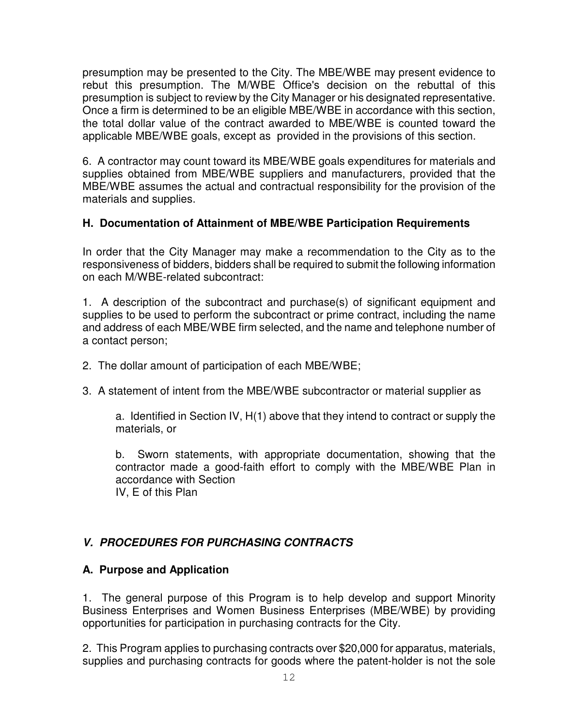presumption may be presented to the City. The MBE/WBE may present evidence to rebut this presumption. The M/WBE Office's decision on the rebuttal of this presumption is subject to review by the City Manager or his designated representative. Once a firm is determined to be an eligible MBE/WBE in accordance with this section, the total dollar value of the contract awarded to MBE/WBE is counted toward the applicable MBE/WBE goals, except as provided in the provisions of this section.

6. A contractor may count toward its MBE/WBE goals expenditures for materials and supplies obtained from MBE/WBE suppliers and manufacturers, provided that the MBE/WBE assumes the actual and contractual responsibility for the provision of the materials and supplies.

## **H. Documentation of Attainment of MBE/WBE Participation Requirements**

In order that the City Manager may make a recommendation to the City as to the responsiveness of bidders, bidders shall be required to submit the following information on each M/WBE-related subcontract:

1. A description of the subcontract and purchase(s) of significant equipment and supplies to be used to perform the subcontract or prime contract, including the name and address of each MBE/WBE firm selected, and the name and telephone number of a contact person;

- 2. The dollar amount of participation of each MBE/WBE;
- 3. A statement of intent from the MBE/WBE subcontractor or material supplier as

a. Identified in Section IV, H(1) above that they intend to contract or supply the materials, or

b. Sworn statements, with appropriate documentation, showing that the contractor made a good-faith effort to comply with the MBE/WBE Plan in accordance with Section

IV, E of this Plan

# *V. PROCEDURES FOR PURCHASING CONTRACTS*

## **A. Purpose and Application**

1. The general purpose of this Program is to help develop and support Minority Business Enterprises and Women Business Enterprises (MBE/WBE) by providing opportunities for participation in purchasing contracts for the City.

2. This Program applies to purchasing contracts over \$20,000 for apparatus, materials, supplies and purchasing contracts for goods where the patent-holder is not the sole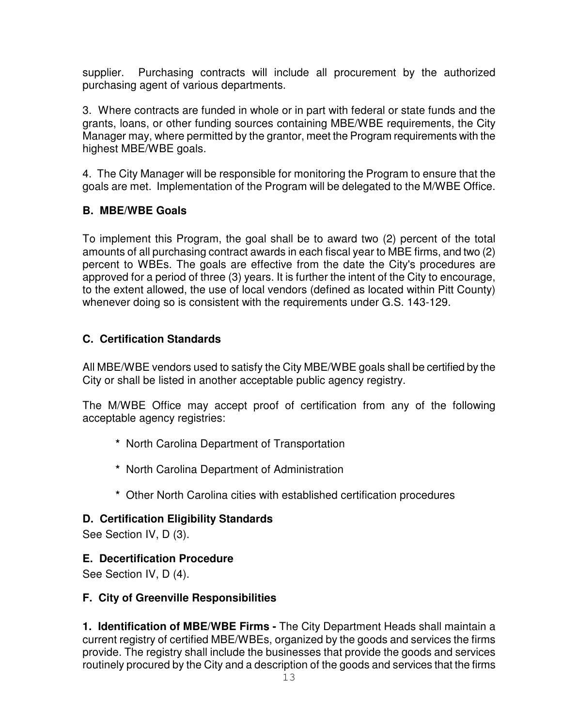supplier. Purchasing contracts will include all procurement by the authorized purchasing agent of various departments.

3. Where contracts are funded in whole or in part with federal or state funds and the grants, loans, or other funding sources containing MBE/WBE requirements, the City Manager may, where permitted by the grantor, meet the Program requirements with the highest MBE/WBE goals.

4. The City Manager will be responsible for monitoring the Program to ensure that the goals are met. Implementation of the Program will be delegated to the M/WBE Office.

# **B. MBE/WBE Goals**

To implement this Program, the goal shall be to award two (2) percent of the total amounts of all purchasing contract awards in each fiscal year to MBE firms, and two (2) percent to WBEs. The goals are effective from the date the City's procedures are approved for a period of three (3) years. It is further the intent of the City to encourage, to the extent allowed, the use of local vendors (defined as located within Pitt County) whenever doing so is consistent with the requirements under G.S. 143-129.

## **C. Certification Standards**

All MBE/WBE vendors used to satisfy the City MBE/WBE goals shall be certified by the City or shall be listed in another acceptable public agency registry.

The M/WBE Office may accept proof of certification from any of the following acceptable agency registries:

- **\*** North Carolina Department of Transportation
- **\*** North Carolina Department of Administration
- **\*** Other North Carolina cities with established certification procedures

# **D. Certification Eligibility Standards**

See Section IV, D (3).

# **E. Decertification Procedure**

See Section IV, D (4).

## **F. City of Greenville Responsibilities**

**1. Identification of MBE/WBE Firms -** The City Department Heads shall maintain a current registry of certified MBE/WBEs, organized by the goods and services the firms provide. The registry shall include the businesses that provide the goods and services routinely procured by the City and a description of the goods and services that the firms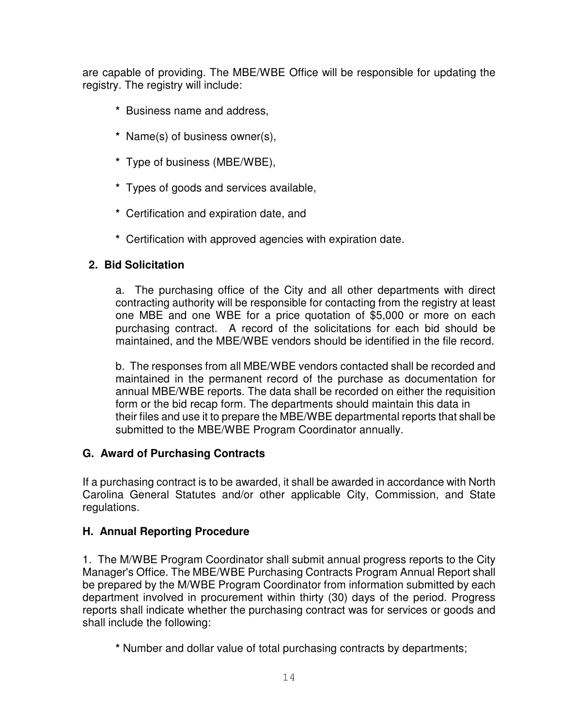are capable of providing. The MBE/WBE Office will be responsible for updating the registry. The registry will include:

- **\*** Business name and address,
- **\*** Name(s) of business owner(s),
- **\*** Type of business (MBE/WBE),
- **\*** Types of goods and services available,
- **\*** Certification and expiration date, and
- **\*** Certification with approved agencies with expiration date.

## **2. Bid Solicitation**

a. The purchasing office of the City and all other departments with direct contracting authority will be responsible for contacting from the registry at least one MBE and one WBE for a price quotation of \$5,000 or more on each purchasing contract. A record of the solicitations for each bid should be maintained, and the MBE/WBE vendors should be identified in the file record.

b. The responses from all MBE/WBE vendors contacted shall be recorded and maintained in the permanent record of the purchase as documentation for annual MBE/WBE reports. The data shall be recorded on either the requisition form or the bid recap form. The departments should maintain this data in their files and use it to prepare the MBE/WBE departmental reports that shall be submitted to the MBE/WBE Program Coordinator annually.

## **G. Award of Purchasing Contracts**

If a purchasing contract is to be awarded, it shall be awarded in accordance with North Carolina General Statutes and/or other applicable City, Commission, and State regulations.

#### **H. Annual Reporting Procedure**

1. The M/WBE Program Coordinator shall submit annual progress reports to the City Manager's Office. The MBE/WBE Purchasing Contracts Program Annual Report shall be prepared by the M/WBE Program Coordinator from information submitted by each department involved in procurement within thirty (30) days of the period. Progress reports shall indicate whether the purchasing contract was for services or goods and shall include the following:

**\*** Number and dollar value of total purchasing contracts by departments;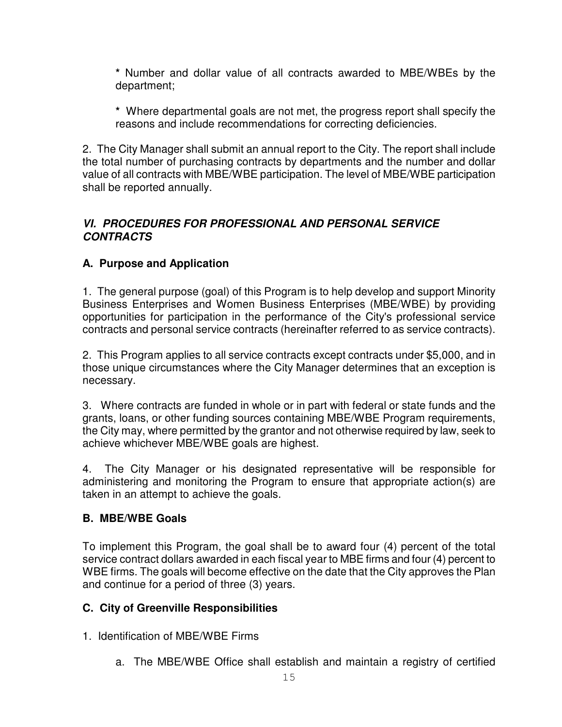**\*** Number and dollar value of all contracts awarded to MBE/WBEs by the department;

**\*** Where departmental goals are not met, the progress report shall specify the reasons and include recommendations for correcting deficiencies.

2. The City Manager shall submit an annual report to the City. The report shall include the total number of purchasing contracts by departments and the number and dollar value of all contracts with MBE/WBE participation. The level of MBE/WBE participation shall be reported annually.

## *VI. PROCEDURES FOR PROFESSIONAL AND PERSONAL SERVICE CONTRACTS*

# **A. Purpose and Application**

1. The general purpose (goal) of this Program is to help develop and support Minority Business Enterprises and Women Business Enterprises (MBE/WBE) by providing opportunities for participation in the performance of the City's professional service contracts and personal service contracts (hereinafter referred to as service contracts).

2. This Program applies to all service contracts except contracts under \$5,000, and in those unique circumstances where the City Manager determines that an exception is necessary.

3. Where contracts are funded in whole or in part with federal or state funds and the grants, loans, or other funding sources containing MBE/WBE Program requirements, the City may, where permitted by the grantor and not otherwise required by law, seek to achieve whichever MBE/WBE goals are highest.

4. The City Manager or his designated representative will be responsible for administering and monitoring the Program to ensure that appropriate action(s) are taken in an attempt to achieve the goals.

## **B. MBE/WBE Goals**

To implement this Program, the goal shall be to award four (4) percent of the total service contract dollars awarded in each fiscal year to MBE firms and four (4) percent to WBE firms. The goals will become effective on the date that the City approves the Plan and continue for a period of three (3) years.

## **C. City of Greenville Responsibilities**

- 1. Identification of MBE/WBE Firms
	- a. The MBE/WBE Office shall establish and maintain a registry of certified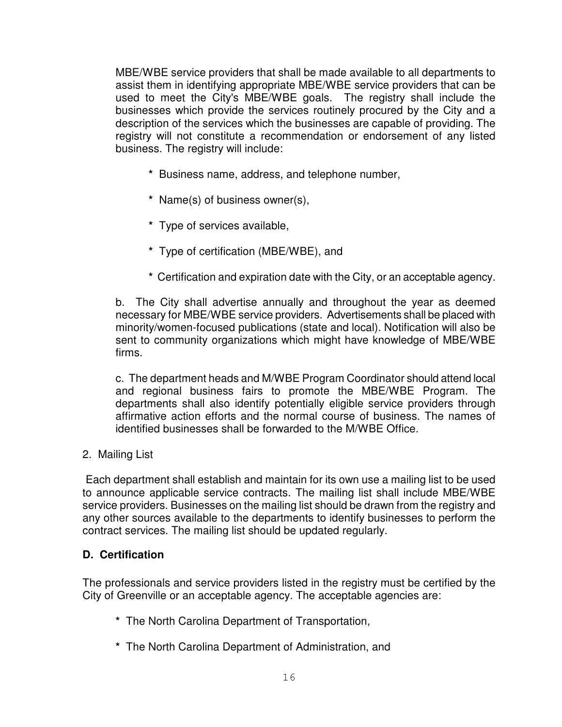MBE/WBE service providers that shall be made available to all departments to assist them in identifying appropriate MBE/WBE service providers that can be used to meet the City's MBE/WBE goals. The registry shall include the businesses which provide the services routinely procured by the City and a description of the services which the businesses are capable of providing. The registry will not constitute a recommendation or endorsement of any listed business. The registry will include:

- **\*** Business name, address, and telephone number,
- **\*** Name(s) of business owner(s),
- **\*** Type of services available,
- **\*** Type of certification (MBE/WBE), and
- **\*** Certification and expiration date with the City, or an acceptable agency.

b. The City shall advertise annually and throughout the year as deemed necessary for MBE/WBE service providers. Advertisements shall be placed with minority/women-focused publications (state and local). Notification will also be sent to community organizations which might have knowledge of MBE/WBE firms.

c. The department heads and M/WBE Program Coordinator should attend local and regional business fairs to promote the MBE/WBE Program. The departments shall also identify potentially eligible service providers through affirmative action efforts and the normal course of business. The names of identified businesses shall be forwarded to the M/WBE Office.

2. Mailing List

Each department shall establish and maintain for its own use a mailing list to be used to announce applicable service contracts. The mailing list shall include MBE/WBE service providers. Businesses on the mailing list should be drawn from the registry and any other sources available to the departments to identify businesses to perform the contract services. The mailing list should be updated regularly.

## **D. Certification**

The professionals and service providers listed in the registry must be certified by the City of Greenville or an acceptable agency. The acceptable agencies are:

- **\*** The North Carolina Department of Transportation,
- **\*** The North Carolina Department of Administration, and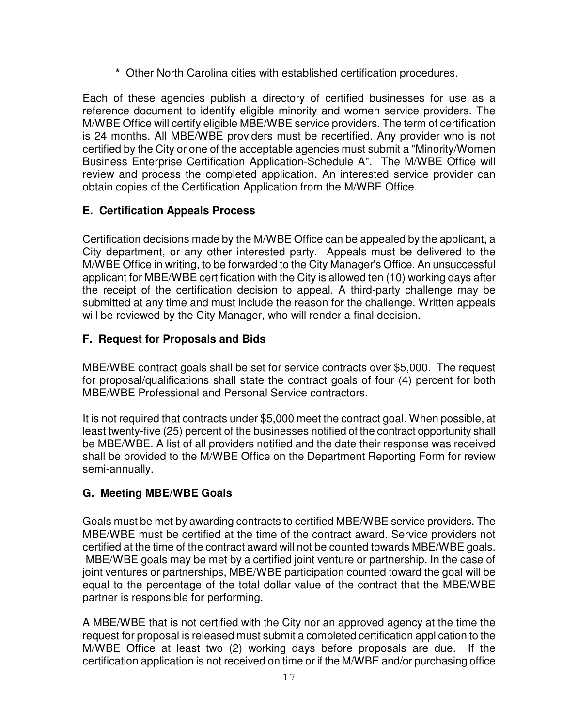**\*** Other North Carolina cities with established certification procedures.

Each of these agencies publish a directory of certified businesses for use as a reference document to identify eligible minority and women service providers. The M/WBE Office will certify eligible MBE/WBE service providers. The term of certification is 24 months. All MBE/WBE providers must be recertified. Any provider who is not certified by the City or one of the acceptable agencies must submit a "Minority/Women Business Enterprise Certification Application-Schedule A". The M/WBE Office will review and process the completed application. An interested service provider can obtain copies of the Certification Application from the M/WBE Office.

## **E. Certification Appeals Process**

Certification decisions made by the M/WBE Office can be appealed by the applicant, a City department, or any other interested party. Appeals must be delivered to the M/WBE Office in writing, to be forwarded to the City Manager's Office. An unsuccessful applicant for MBE/WBE certification with the City is allowed ten (10) working days after the receipt of the certification decision to appeal. A third-party challenge may be submitted at any time and must include the reason for the challenge. Written appeals will be reviewed by the City Manager, who will render a final decision.

## **F. Request for Proposals and Bids**

MBE/WBE contract goals shall be set for service contracts over \$5,000. The request for proposal/qualifications shall state the contract goals of four (4) percent for both MBE/WBE Professional and Personal Service contractors.

It is not required that contracts under \$5,000 meet the contract goal. When possible, at least twenty-five (25) percent of the businesses notified of the contract opportunity shall be MBE/WBE. A list of all providers notified and the date their response was received shall be provided to the M/WBE Office on the Department Reporting Form for review semi-annually.

## **G. Meeting MBE/WBE Goals**

Goals must be met by awarding contracts to certified MBE/WBE service providers. The MBE/WBE must be certified at the time of the contract award. Service providers not certified at the time of the contract award will not be counted towards MBE/WBE goals. MBE/WBE goals may be met by a certified joint venture or partnership. In the case of joint ventures or partnerships, MBE/WBE participation counted toward the goal will be equal to the percentage of the total dollar value of the contract that the MBE/WBE partner is responsible for performing.

A MBE/WBE that is not certified with the City nor an approved agency at the time the request for proposal is released must submit a completed certification application to the M/WBE Office at least two (2) working days before proposals are due. If the certification application is not received on time or if the M/WBE and/or purchasing office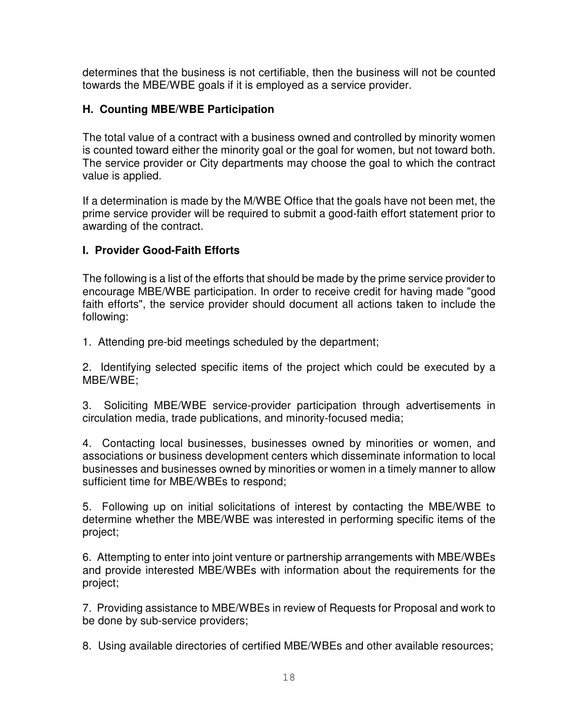determines that the business is not certifiable, then the business will not be counted towards the MBE/WBE goals if it is employed as a service provider.

#### **H. Counting MBE/WBE Participation**

The total value of a contract with a business owned and controlled by minority women is counted toward either the minority goal or the goal for women, but not toward both. The service provider or City departments may choose the goal to which the contract value is applied.

If a determination is made by the M/WBE Office that the goals have not been met, the prime service provider will be required to submit a good-faith effort statement prior to awarding of the contract.

#### **I. Provider Good-Faith Efforts**

The following is a list of the efforts that should be made by the prime service provider to encourage MBE/WBE participation. In order to receive credit for having made "good faith efforts", the service provider should document all actions taken to include the following:

1. Attending pre-bid meetings scheduled by the department;

2. Identifying selected specific items of the project which could be executed by a MBE/WBE;

3. Soliciting MBE/WBE service-provider participation through advertisements in circulation media, trade publications, and minority-focused media;

4. Contacting local businesses, businesses owned by minorities or women, and associations or business development centers which disseminate information to local businesses and businesses owned by minorities or women in a timely manner to allow sufficient time for MBE/WBEs to respond;

5. Following up on initial solicitations of interest by contacting the MBE/WBE to determine whether the MBE/WBE was interested in performing specific items of the project;

6. Attempting to enter into joint venture or partnership arrangements with MBE/WBEs and provide interested MBE/WBEs with information about the requirements for the project;

7. Providing assistance to MBE/WBEs in review of Requests for Proposal and work to be done by sub-service providers;

8. Using available directories of certified MBE/WBEs and other available resources;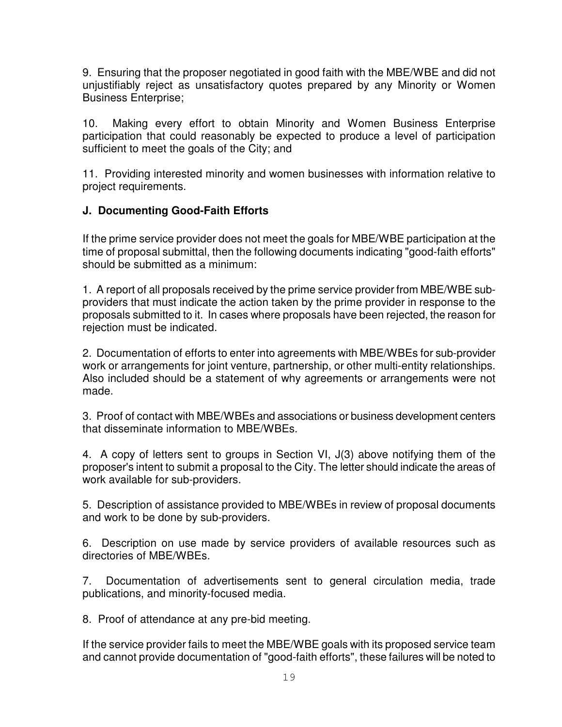9. Ensuring that the proposer negotiated in good faith with the MBE/WBE and did not unjustifiably reject as unsatisfactory quotes prepared by any Minority or Women Business Enterprise;

10. Making every effort to obtain Minority and Women Business Enterprise participation that could reasonably be expected to produce a level of participation sufficient to meet the goals of the City; and

11. Providing interested minority and women businesses with information relative to project requirements.

## **J. Documenting Good-Faith Efforts**

If the prime service provider does not meet the goals for MBE/WBE participation at the time of proposal submittal, then the following documents indicating "good-faith efforts" should be submitted as a minimum:

1. A report of all proposals received by the prime service provider from MBE/WBE subproviders that must indicate the action taken by the prime provider in response to the proposals submitted to it. In cases where proposals have been rejected, the reason for rejection must be indicated.

2. Documentation of efforts to enter into agreements with MBE/WBEs for sub-provider work or arrangements for joint venture, partnership, or other multi-entity relationships. Also included should be a statement of why agreements or arrangements were not made.

3. Proof of contact with MBE/WBEs and associations or business development centers that disseminate information to MBE/WBEs.

4. A copy of letters sent to groups in Section VI, J(3) above notifying them of the proposer's intent to submit a proposal to the City. The letter should indicate the areas of work available for sub-providers.

5. Description of assistance provided to MBE/WBEs in review of proposal documents and work to be done by sub-providers.

6. Description on use made by service providers of available resources such as directories of MBE/WBEs.

7. Documentation of advertisements sent to general circulation media, trade publications, and minority-focused media.

8. Proof of attendance at any pre-bid meeting.

If the service provider fails to meet the MBE/WBE goals with its proposed service team and cannot provide documentation of "good-faith efforts", these failures will be noted to